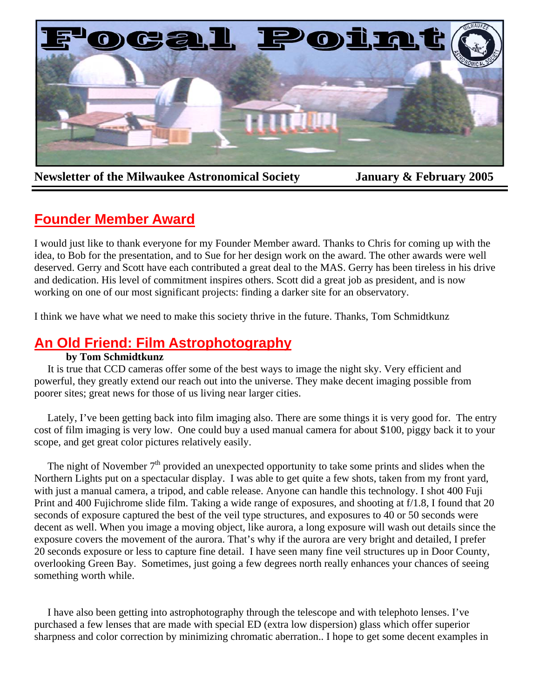

**Newsletter of the Milwaukee Astronomical Society January & February 2005** 

# **Founder Member Award**

I would just like to thank everyone for my Founder Member award. Thanks to Chris for coming up with the idea, to Bob for the presentation, and to Sue for her design work on the award. The other awards were well deserved. Gerry and Scott have each contributed a great deal to the MAS. Gerry has been tireless in his drive and dedication. His level of commitment inspires others. Scott did a great job as president, and is now working on one of our most significant projects: finding a darker site for an observatory.

I think we have what we need to make this society thrive in the future. Thanks, Tom Schmidtkunz

# **An Old Friend: Film Astrophotography**

# **by Tom Schmidtkunz**

 It is true that CCD cameras offer some of the best ways to image the night sky. Very efficient and powerful, they greatly extend our reach out into the universe. They make decent imaging possible from poorer sites; great news for those of us living near larger cities.

 Lately, I've been getting back into film imaging also. There are some things it is very good for. The entry cost of film imaging is very low. One could buy a used manual camera for about \$100, piggy back it to your scope, and get great color pictures relatively easily.

The night of November  $7<sup>th</sup>$  provided an unexpected opportunity to take some prints and slides when the Northern Lights put on a spectacular display. I was able to get quite a few shots, taken from my front yard, with just a manual camera, a tripod, and cable release. Anyone can handle this technology. I shot 400 Fuji Print and 400 Fujichrome slide film. Taking a wide range of exposures, and shooting at f/1.8, I found that 20 seconds of exposure captured the best of the veil type structures, and exposures to 40 or 50 seconds were decent as well. When you image a moving object, like aurora, a long exposure will wash out details since the exposure covers the movement of the aurora. That's why if the aurora are very bright and detailed, I prefer 20 seconds exposure or less to capture fine detail. I have seen many fine veil structures up in Door County, overlooking Green Bay. Sometimes, just going a few degrees north really enhances your chances of seeing something worth while.

 sharpness and color correction by minimizing chromatic aberration.. I hope to get some decent examples in I have also been getting into astrophotography through the telescope and with telephoto lenses. I've purchased a few lenses that are made with special ED (extra low dispersion) glass which offer superior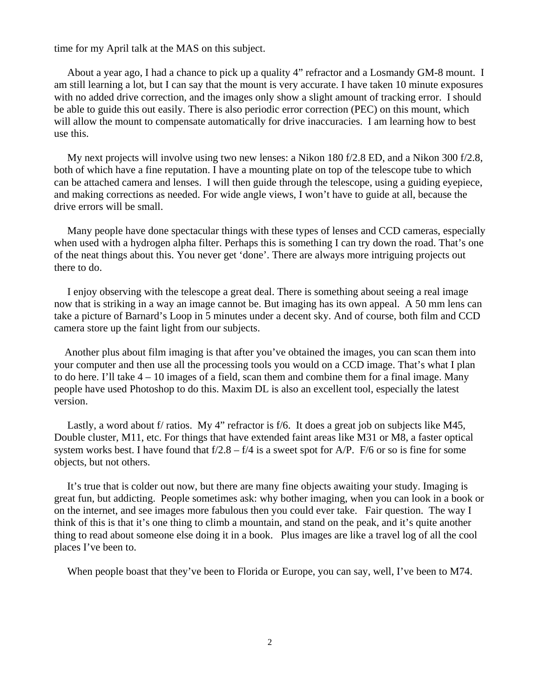time for my April talk at the MAS on this subject.

 About a year ago, I had a chance to pick up a quality 4" refractor and a Losmandy GM-8 mount. I am still learning a lot, but I can say that the mount is very accurate. I have taken 10 minute exposures with no added drive correction, and the images only show a slight amount of tracking error. I should be able to guide this out easily. There is also periodic error correction (PEC) on this mount, which will allow the mount to compensate automatically for drive inaccuracies. I am learning how to best use this.

 My next projects will involve using two new lenses: a Nikon 180 f/2.8 ED, and a Nikon 300 f/2.8, both of which have a fine reputation. I have a mounting plate on top of the telescope tube to which can be attached camera and lenses. I will then guide through the telescope, using a guiding eyepiece, and making corrections as needed. For wide angle views, I won't have to guide at all, because the drive errors will be small.

 Many people have done spectacular things with these types of lenses and CCD cameras, especially when used with a hydrogen alpha filter. Perhaps this is something I can try down the road. That's one of the neat things about this. You never get 'done'. There are always more intriguing projects out there to do.

 I enjoy observing with the telescope a great deal. There is something about seeing a real image now that is striking in a way an image cannot be. But imaging has its own appeal. A 50 mm lens can take a picture of Barnard's Loop in 5 minutes under a decent sky. And of course, both film and CCD camera store up the faint light from our subjects.

 Another plus about film imaging is that after you've obtained the images, you can scan them into your computer and then use all the processing tools you would on a CCD image. That's what I plan to do here. I'll take  $4 - 10$  images of a field, scan them and combine them for a final image. Many people have used Photoshop to do this. Maxim DL is also an excellent tool, especially the latest version.

Lastly, a word about f/ ratios. My 4" refractor is f/6. It does a great job on subjects like M45, Double cluster, M11, etc. For things that have extended faint areas like M31 or M8, a faster optical system works best. I have found that  $f/2.8 - f/4$  is a sweet spot for A/P. F/6 or so is fine for some objects, but not others.

 It's true that is colder out now, but there are many fine objects awaiting your study. Imaging is great fun, but addicting. People sometimes ask: why bother imaging, when you can look in a book or on the internet, and see images more fabulous then you could ever take. Fair question. The way I think of this is that it's one thing to climb a mountain, and stand on the peak, and it's quite another thing to read about someone else doing it in a book. Plus images are like a travel log of all the cool places I've been to.

When people boast that they've been to Florida or Europe, you can say, well, I've been to M74.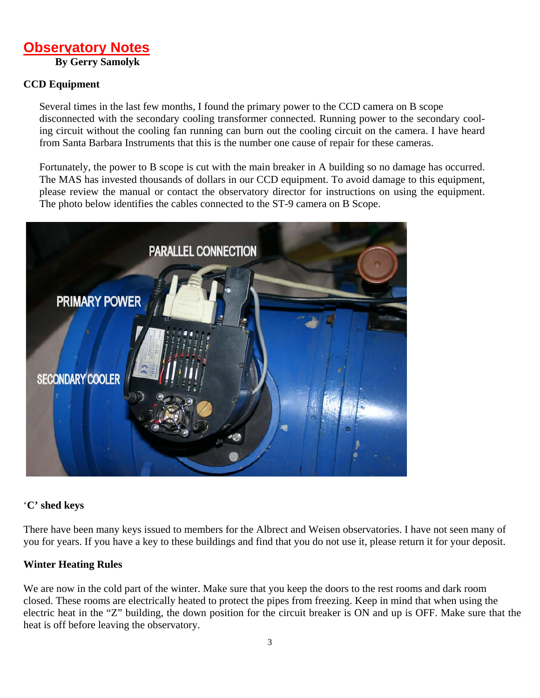# **Observatory Notes By Gerry Samolyk**

# **CCD Equipment**

Several times in the last few months, I found the primary power to the CCD camera on B scope disconnected with the secondary cooling transformer connected. Running power to the secondary cooling circuit without the cooling fan running can burn out the cooling circuit on the camera. I have heard from Santa Barbara Instruments that this is the number one cause of repair for these cameras.

Fortunately, the power to B scope is cut with the main breaker in A building so no damage has occurred. The MAS has invested thousands of dollars in our CCD equipment. To avoid damage to this equipment, please review the manual or contact the observatory director for instructions on using the equipment. The photo below identifies the cables connected to the ST-9 camera on B Scope.



## '**C' shed keys**

There have been many keys issued to members for the Albrect and Weisen observatories. I have not seen many of you for years. If you have a key to these buildings and find that you do not use it, please return it for your deposit.

## **Winter Heating Rules**

We are now in the cold part of the winter. Make sure that you keep the doors to the rest rooms and dark room closed. These rooms are electrically heated to protect the pipes from freezing. Keep in mind that when using the electric heat in the "Z" building, the down position for the circuit breaker is ON and up is OFF. Make sure that the heat is off before leaving the observatory.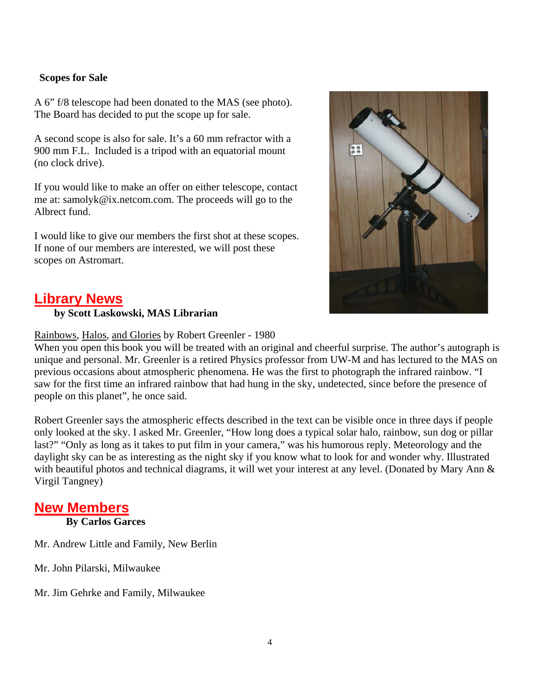## **Scopes for Sale**

A 6" f/8 telescope had been donated to the MAS (see photo). The Board has decided to put the scope up for sale.

A second scope is also for sale. It's a 60 mm refractor with a 900 mm F.L. Included is a tripod with an equatorial mount (no clock drive).

If you would like to make an offer on either telescope, contact me at: samolyk@ix.netcom.com. The proceeds will go to the Albrect fund.

I would like to give our members the first shot at these scopes. If none of our members are interested, we will post these scopes on Astromart.



# **Library News**

## **by Scott Laskowski, MAS Librarian**

## Rainbows, Halos, and Glories by Robert Greenler - 1980

When you open this book you will be treated with an original and cheerful surprise. The author's autograph is unique and personal. Mr. Greenler is a retired Physics professor from UW-M and has lectured to the MAS on previous occasions about atmospheric phenomena. He was the first to photograph the infrared rainbow. "I saw for the first time an infrared rainbow that had hung in the sky, undetected, since before the presence of people on this planet", he once said.

Robert Greenler says the atmospheric effects described in the text can be visible once in three days if people only looked at the sky. I asked Mr. Greenler, "How long does a typical solar halo, rainbow, sun dog or pillar last?" "Only as long as it takes to put film in your camera," was his humorous reply. Meteorology and the daylight sky can be as interesting as the night sky if you know what to look for and wonder why. Illustrated with beautiful photos and technical diagrams, it will wet your interest at any level. (Donated by Mary Ann & Virgil Tangney)

# **New Members**

**By Carlos Garces**

Mr. Andrew Little and Family, New Berlin

Mr. John Pilarski, Milwaukee

Mr. Jim Gehrke and Family, Milwaukee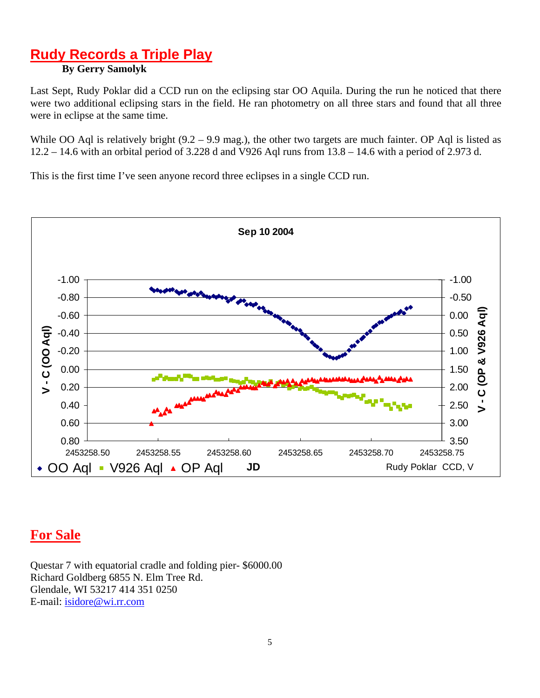# 5 **Rudy Records a Triple Play**

# **By Gerry Samolyk**

Last Sept, Rudy Poklar did a CCD run on the eclipsing star OO Aquila. During the run he noticed that there were two additional eclipsing stars in the field. He ran photometry on all three stars and found that all three were in eclipse at the same time.

12.2 – 14.6 with an orbital period of 3.228 d and V926 Aql runs from 13.8 – 14.6 with a period of 2.973 d. While OO Aql is relatively bright (9.2 – 9.9 mag.), the other two targets are much fainter. OP Aql is listed as

This is the first time I've seen anyone record three eclipses in a single CCD run.



# **For Sale**

Questar 7 with equatorial cradle and folding pier- \$6000.00 Richard Goldberg 6855 N. Elm Tree Rd. Glendale, WI 53217 414 351 0250 E-mail: isidore@wi.rr.com